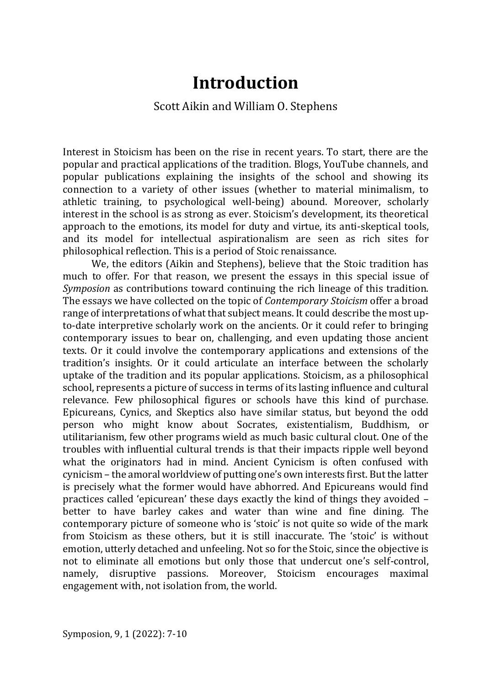# **Introduction**

## Scott Aikin and William O. Stephens

Interest in Stoicism has been on the rise in recent years. To start, there are the popular and practical applications of the tradition. Blogs, YouTube channels, and popular publications explaining the insights of the school and showing its connection to a variety of other issues (whether to material minimalism, to athletic training, to psychological well-being) abound. Moreover, scholarly interest in the school is as strong as ever. Stoicism's development, its theoretical approach to the emotions, its model for duty and virtue, its anti-skeptical tools, and its model for intellectual aspirationalism are seen as rich sites for philosophical reflection. This is a period of Stoic renaissance.

We, the editors (Aikin and Stephens), believe that the Stoic tradition has much to offer. For that reason, we present the essays in this special issue of *Symposion* as contributions toward continuing the rich lineage of this tradition. The essays we have collected on the topic of *Contemporary Stoicism* offer a broad range of interpretations of what that subject means. It could describe the most upto-date interpretive scholarly work on the ancients. Or it could refer to bringing contemporary issues to bear on, challenging, and even updating those ancient texts. Or it could involve the contemporary applications and extensions of the tradition's insights. Or it could articulate an interface between the scholarly uptake of the tradition and its popular applications. Stoicism, as a philosophical school, represents a picture of success in terms of its lasting influence and cultural relevance. Few philosophical figures or schools have this kind of purchase. Epicureans, Cynics, and Skeptics also have similar status, but beyond the odd person who might know about Socrates, existentialism, Buddhism, or utilitarianism, few other programs wield as much basic cultural clout. One of the troubles with influential cultural trends is that their impacts ripple well beyond what the originators had in mind. Ancient Cynicism is often confused with cynicism – the amoral worldview of putting one's own interests first. But the latter is precisely what the former would have abhorred. And Epicureans would find practices called 'epicurean' these days exactly the kind of things they avoided – better to have barley cakes and water than wine and fine dining. The contemporary picture of someone who is 'stoic' is not quite so wide of the mark from Stoicism as these others, but it is still inaccurate. The 'stoic' is without emotion, utterly detached and unfeeling. Not so for the Stoic, since the objective is not to eliminate all emotions but only those that undercut one's self-control, namely, disruptive passions. Moreover, Stoicism encourages maximal engagement with, not isolation from, the world.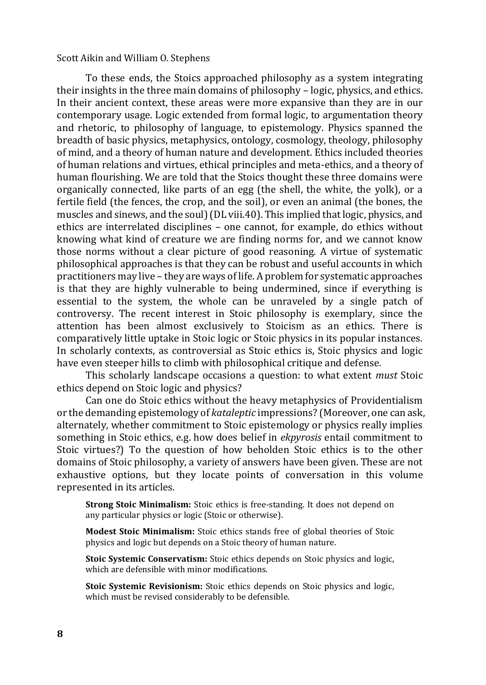#### Scott Aikin and William O. Stephens

To these ends, the Stoics approached philosophy as a system integrating their insights in the three main domains of philosophy – logic, physics, and ethics. In their ancient context, these areas were more expansive than they are in our contemporary usage. Logic extended from formal logic, to argumentation theory and rhetoric, to philosophy of language, to epistemology. Physics spanned the breadth of basic physics, metaphysics, ontology, cosmology, theology, philosophy of mind, and a theory of human nature and development. Ethics included theories of human relations and virtues, ethical principles and meta-ethics, and a theory of human flourishing. We are told that the Stoics thought these three domains were organically connected, like parts of an egg (the shell, the white, the yolk), or a fertile field (the fences, the crop, and the soil), or even an animal (the bones, the muscles and sinews, and the soul) (DL viii.40). This implied that logic, physics, and ethics are interrelated disciplines – one cannot, for example, do ethics without knowing what kind of creature we are finding norms for, and we cannot know those norms without a clear picture of good reasoning. A virtue of systematic philosophical approaches is that they can be robust and useful accounts in which practitioners may live – they are ways of life. A problem for systematic approaches is that they are highly vulnerable to being undermined, since if everything is essential to the system, the whole can be unraveled by a single patch of controversy. The recent interest in Stoic philosophy is exemplary, since the attention has been almost exclusively to Stoicism as an ethics. There is comparatively little uptake in Stoic logic or Stoic physics in its popular instances. In scholarly contexts, as controversial as Stoic ethics is, Stoic physics and logic have even steeper hills to climb with philosophical critique and defense.

This scholarly landscape occasions a question: to what extent *must* Stoic ethics depend on Stoic logic and physics?

Can one do Stoic ethics without the heavy metaphysics of Providentialism or the demanding epistemology of *kataleptic* impressions? (Moreover, one can ask, alternately, whether commitment to Stoic epistemology or physics really implies something in Stoic ethics, e.g. how does belief in *ekpyrosis* entail commitment to Stoic virtues?) To the question of how beholden Stoic ethics is to the other domains of Stoic philosophy, a variety of answers have been given. These are not exhaustive options, but they locate points of conversation in this volume represented in its articles.

**Strong Stoic Minimalism:** Stoic ethics is free-standing. It does not depend on any particular physics or logic (Stoic or otherwise).

**Modest Stoic Minimalism:** Stoic ethics stands free of global theories of Stoic physics and logic but depends on a Stoic theory of human nature.

**Stoic Systemic Conservatism:** Stoic ethics depends on Stoic physics and logic, which are defensible with minor modifications.

**Stoic Systemic Revisionism:** Stoic ethics depends on Stoic physics and logic, which must be revised considerably to be defensible.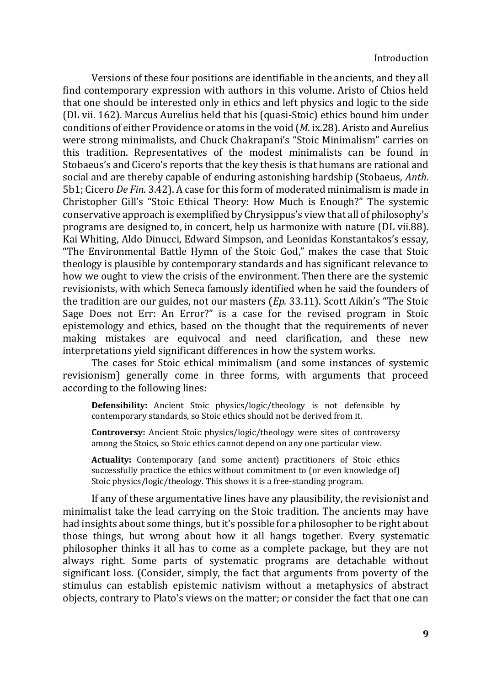Versions of these four positions are identifiable in the ancients, and they all find contemporary expression with authors in this volume. Aristo of Chios held that one should be interested only in ethics and left physics and logic to the side (DL vii. 162). Marcus Aurelius held that his (quasi-Stoic) ethics bound him under conditions of either Providence or atoms in the void (*M*. ix.28). Aristo and Aurelius were strong minimalists, and Chuck Chakrapani's "Stoic Minimalism" carries on this tradition. Representatives of the modest minimalists can be found in Stobaeus's and Cicero's reports that the key thesis is that humans are rational and social and are thereby capable of enduring astonishing hardship (Stobaeus, *Anth*. 5b1; Cicero *De Fin.* 3.42). A case for this form of moderated minimalism is made in Christopher Gill's "Stoic Ethical Theory: How Much is Enough?" The systemic conservative approach is exemplified by Chrysippus's view that all of philosophy's programs are designed to, in concert, help us harmonize with nature (DL vii.88). Kai Whiting, Aldo Dinucci, Edward Simpson, and Leonidas Konstantakos's essay, "The Environmental Battle Hymn of the Stoic God," makes the case that Stoic theology is plausible by contemporary standards and has significant relevance to how we ought to view the crisis of the environment. Then there are the systemic revisionists, with which Seneca famously identified when he said the founders of the tradition are our guides, not our masters (*Ep.* 33.11). Scott Aikin's "The Stoic Sage Does not Err: An Error?" is a case for the revised program in Stoic epistemology and ethics, based on the thought that the requirements of never making mistakes are equivocal and need clarification, and these new interpretations yield significant differences in how the system works.

The cases for Stoic ethical minimalism (and some instances of systemic revisionism) generally come in three forms, with arguments that proceed according to the following lines:

**Defensibility:** Ancient Stoic physics/logic/theology is not defensible by contemporary standards, so Stoic ethics should not be derived from it.

**Controversy:** Ancient Stoic physics/logic/theology were sites of controversy among the Stoics, so Stoic ethics cannot depend on any one particular view.

**Actuality:** Contemporary (and some ancient) practitioners of Stoic ethics successfully practice the ethics without commitment to (or even knowledge of) Stoic physics/logic/theology. This shows it is a free-standing program.

If any of these argumentative lines have any plausibility, the revisionist and minimalist take the lead carrying on the Stoic tradition. The ancients may have had insights about some things, but it's possible for a philosopher to be right about those things, but wrong about how it all hangs together. Every systematic philosopher thinks it all has to come as a complete package, but they are not always right. Some parts of systematic programs are detachable without significant loss. (Consider, simply, the fact that arguments from poverty of the stimulus can establish epistemic nativism without a metaphysics of abstract objects, contrary to Plato's views on the matter; or consider the fact that one can